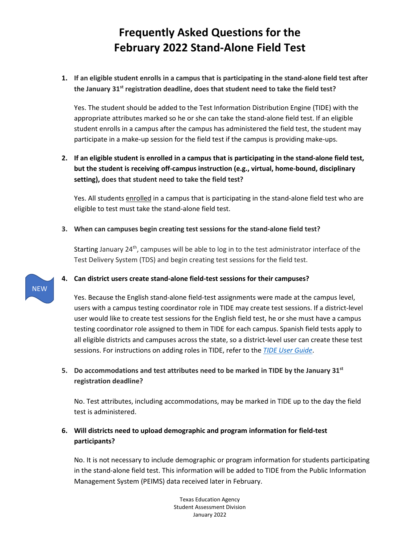# **Frequently Asked Questions for the February 2022 Stand-Alone Field Test**

**1. If an eligible student enrolls in a campus that is participating in the stand-alone field test after the January 31st registration deadline, does that student need to take the field test?**

Yes. The student should be added to the Test Information Distribution Engine (TIDE) with the appropriate attributes marked so he or she can take the stand-alone field test. If an eligible student enrolls in a campus after the campus has administered the field test, the student may participate in a make-up session for the field test if the campus is providing make-ups.

## **2. If an eligible student is enrolled in a campus that is participating in the stand-alone field test, but the student is receiving off-campus instruction (e.g., virtual, home-bound, disciplinary setting), does that student need to take the field test?**

Yes. All students enrolled in a campus that is participating in the stand-alone field test who are eligible to test must take the stand-alone field test.

#### **3. When can campuses begin creating test sessions for the stand-alone field test?**

Starting January 24<sup>th</sup>, campuses will be able to log in to the test administrator interface of the Test Delivery System (TDS) and begin creating test sessions for the field test.

#### **4. Can district users create stand-alone field-test sessions for their campuses?**

Yes. Because the English stand-alone field-test assignments were made at the campus level, users with a campus testing coordinator role in TIDE may create test sessions. If a district-level user would like to create test sessions for the English field test, he or she must have a campus testing coordinator role assigned to them in TIDE for each campus. Spanish field tests apply to all eligible districts and campuses across the state, so a district-level user can create these test sessions. For instructions on adding roles in TIDE, refer to the *[TIDE User Guide](https://www.texasassessment.gov/resources/system-user-guides/tide-user-guide)*.

### **5. Do accommodations and test attributes need to be marked in TIDE by the January 31st registration deadline?**

No. Test attributes, including accommodations, may be marked in TIDE up to the day the field test is administered.

### **6. Will districts need to upload demographic and program information for field-test participants?**

No. It is not necessary to include demographic or program information for students participating in the stand-alone field test. This information will be added to TIDE from the Public Information Management System (PEIMS) data received later in February.

> Texas Education Agency Student Assessment Division January 2022